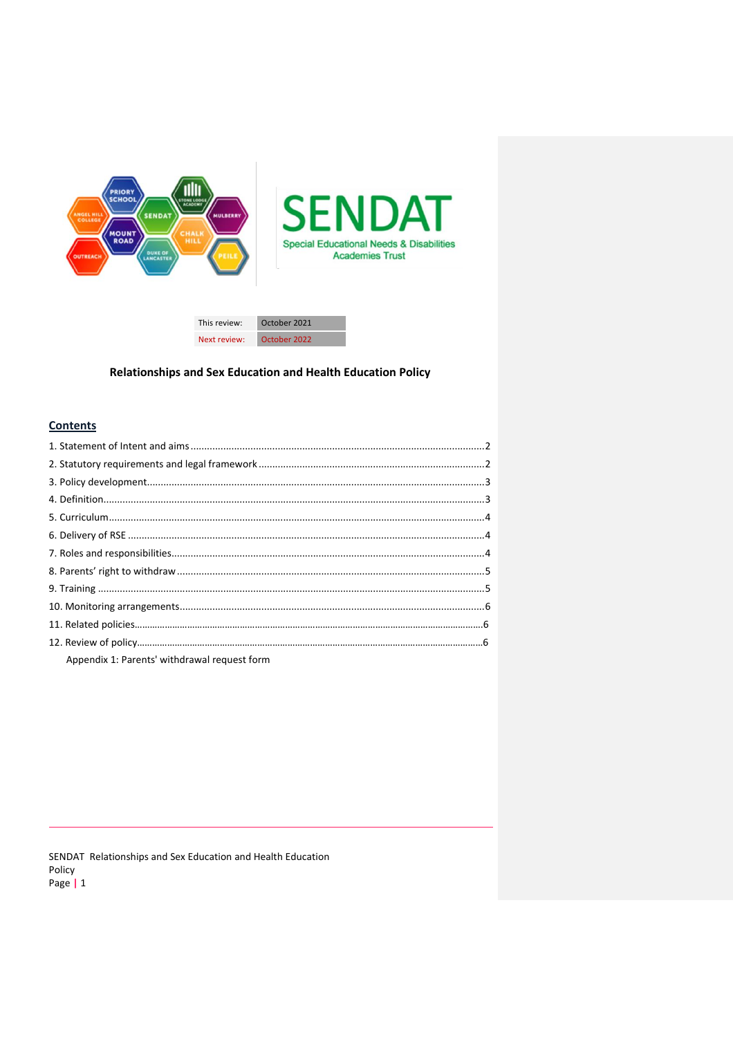



# Relationships and Sex Education and Health Education Policy

# **Contents**

| Appendix 1: Parents' withdrawal request form |  |
|----------------------------------------------|--|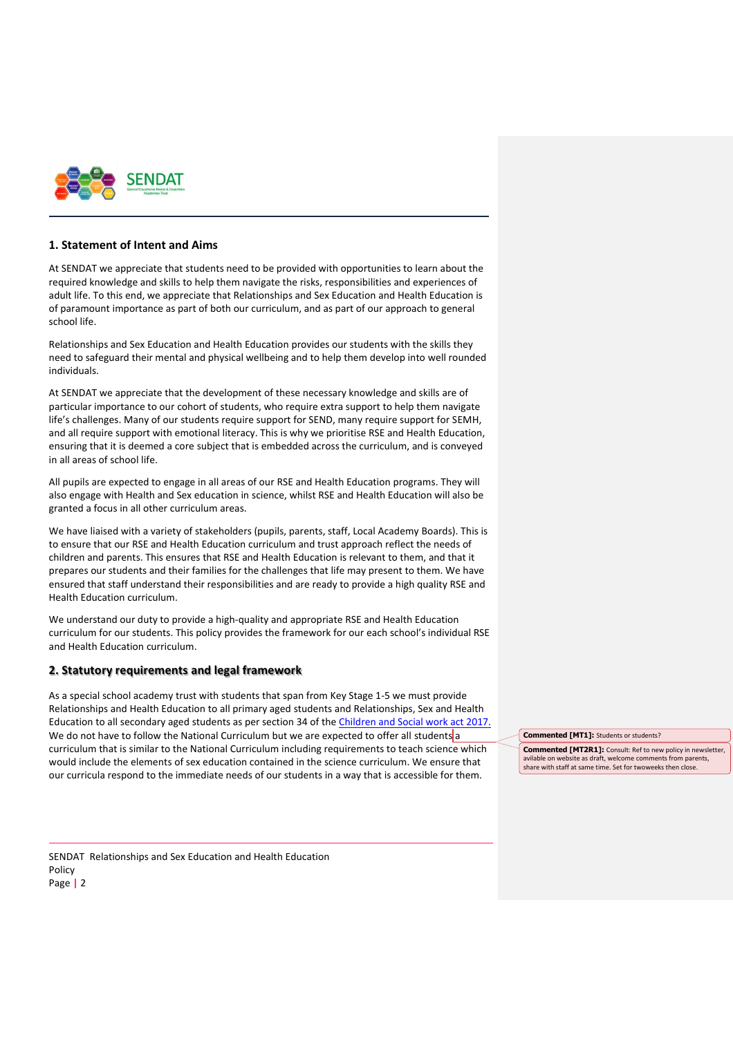

### <span id="page-1-1"></span><span id="page-1-0"></span>**1. Statement of Intent and Aims**

At SENDAT we appreciate that students need to be provided with opportunities to learn about the required knowledge and skills to help them navigate the risks, responsibilities and experiences of adult life. To this end, we appreciate that Relationships and Sex Education and Health Education is of paramount importance as part of both our curriculum, and as part of our approach to general school life.

Relationships and Sex Education and Health Education provides our students with the skills they need to safeguard their mental and physical wellbeing and to help them develop into well rounded individuals.

At SENDAT we appreciate that the development of these necessary knowledge and skills are of particular importance to our cohort of students, who require extra support to help them navigate life's challenges. Many of our students require support for SEND, many require support for SEMH, and all require support with emotional literacy. This is why we prioritise RSE and Health Education, ensuring that it is deemed a core subject that is embedded across the curriculum, and is conveyed in all areas of school life.

All pupils are expected to engage in all areas of our RSE and Health Education programs. They will also engage with Health and Sex education in science, whilst RSE and Health Education will also be granted a focus in all other curriculum areas.

We have liaised with a variety of stakeholders (pupils, parents, staff, Local Academy Boards). This is to ensure that our RSE and Health Education curriculum and trust approach reflect the needs of children and parents. This ensures that RSE and Health Education is relevant to them, and that it prepares our students and their families for the challenges that life may present to them. We have ensured that staff understand their responsibilities and are ready to provide a high quality RSE and Health Education curriculum.

We understand our duty to provide a high-quality and appropriate RSE and Health Education curriculum for our students. This policy provides the framework for our each school's individual RSE and Health Education curriculum.

### **2. Statutory requirements and legal framework**

As a special school academy trust with students that span from Key Stage 1-5 we must provide Relationships and Health Education to all primary aged students and Relationships, Sex and Health Education to all secondary aged students as per section 34 of th[e Children and Social work act 2017.](http://www.legislation.gov.uk/ukpga/2017/16/section/34/enacted) We do not have to follow the National Curriculum but we are expected to offer all students a curriculum that is similar to the National Curriculum including requirements to teach science which would include the elements of sex education contained in the science curriculum. We ensure that our curricula respond to the immediate needs of our students in a way that is accessible for them.

**Commented [MT1]:** Students or students?

**Commented [MT2R1]:** Consult: Ref to new policy in newsletter, avilable on website as draft, welcome comments from parents share with staff at same time. Set for twoweeks then close.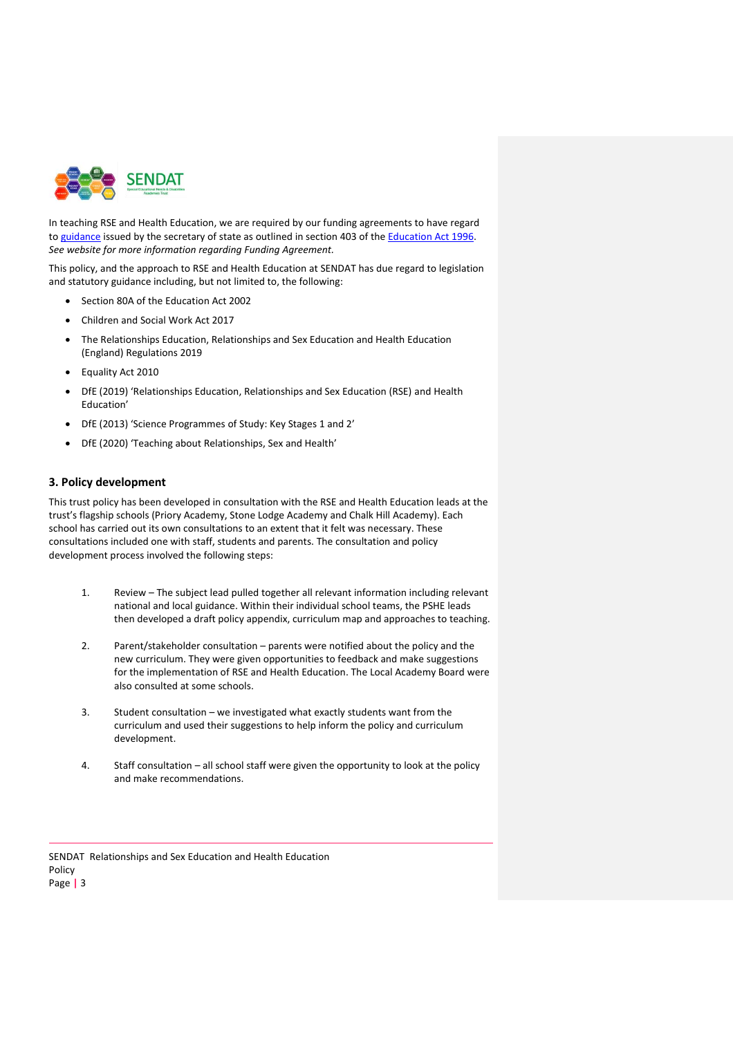

In teaching RSE and Health Education, we are required by our funding agreements to have regard to [guidance](https://www.gov.uk/government/consultations/relationships-and-sex-education-and-health-education) issued by the secretary of state as outlined in section 403 of the [Education Act 1996.](http://www.legislation.gov.uk/ukpga/1996/56/contents) *See website for more information regarding Funding Agreement.*

This policy, and the approach to RSE and Health Education at SENDAT has due regard to legislation and statutory guidance including, but not limited to, the following:

- Section 80A of the Education Act 2002
- Children and Social Work Act 2017
- The Relationships Education, Relationships and Sex Education and Health Education (England) Regulations 2019
- Equality Act 2010
- DfE (2019) 'Relationships Education, Relationships and Sex Education (RSE) and Health Education'
- DfE (2013) 'Science Programmes of Study: Key Stages 1 and 2'
- DfE (2020) 'Teaching about Relationships, Sex and Health'

### <span id="page-2-0"></span>**3. Policy development**

This trust policy has been developed in consultation with the RSE and Health Education leads at the trust's flagship schools (Priory Academy, Stone Lodge Academy and Chalk Hill Academy). Each school has carried out its own consultations to an extent that it felt was necessary. These consultations included one with staff, students and parents. The consultation and policy development process involved the following steps:

- 1. Review The subject lead pulled together all relevant information including relevant national and local guidance. Within their individual school teams, the PSHE leads then developed a draft policy appendix, curriculum map and approaches to teaching.
- 2. Parent/stakeholder consultation parents were notified about the policy and the new curriculum. They were given opportunities to feedback and make suggestions for the implementation of RSE and Health Education. The Local Academy Board were also consulted at some schools.
- 3. Student consultation we investigated what exactly students want from the curriculum and used their suggestions to help inform the policy and curriculum development.
- 4. Staff consultation all school staff were given the opportunity to look at the policy and make recommendations.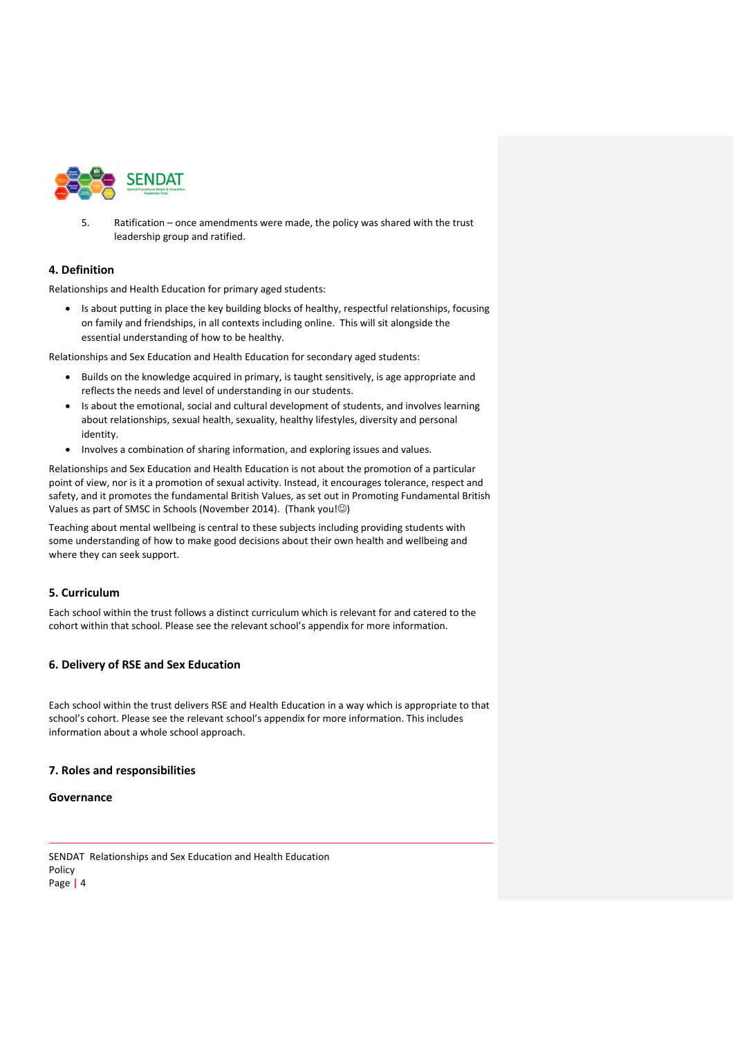

5. Ratification – once amendments were made, the policy was shared with the trust leadership group and ratified.

# <span id="page-3-0"></span>**4. Definition**

Relationships and Health Education for primary aged students:

• Is about putting in place the key building blocks of healthy, respectful relationships, focusing on family and friendships, in all contexts including online. This will sit alongside the essential understanding of how to be healthy.

Relationships and Sex Education and Health Education for secondary aged students:

- Builds on the knowledge acquired in primary, is taught sensitively, is age appropriate and reflects the needs and level of understanding in our students.
- Is about the emotional, social and cultural development of students, and involves learning about relationships, sexual health, sexuality, healthy lifestyles, diversity and personal identity.
- Involves a combination of sharing information, and exploring issues and values.

Relationships and Sex Education and Health Education is not about the promotion of a particular point of view, nor is it a promotion of sexual activity. Instead, it encourages tolerance, respect and safety, and it promotes the fundamental British Values, as set out in Promoting Fundamental British Values as part of SMSC in Schools (November 2014). (Thank you!©)

Teaching about mental wellbeing is central to these subjects including providing students with some understanding of how to make good decisions about their own health and wellbeing and where they can seek support.

# <span id="page-3-1"></span>**5. Curriculum**

Each school within the trust follows a distinct curriculum which is relevant for and catered to the cohort within that school. Please see the relevant school's appendix for more information.

# <span id="page-3-2"></span>**6. Delivery of RSE and Sex Education**

Each school within the trust delivers RSE and Health Education in a way which is appropriate to that school's cohort. Please see the relevant school's appendix for more information. This includes information about a whole school approach.

# <span id="page-3-3"></span>**7. Roles and responsibilities**

**Governance**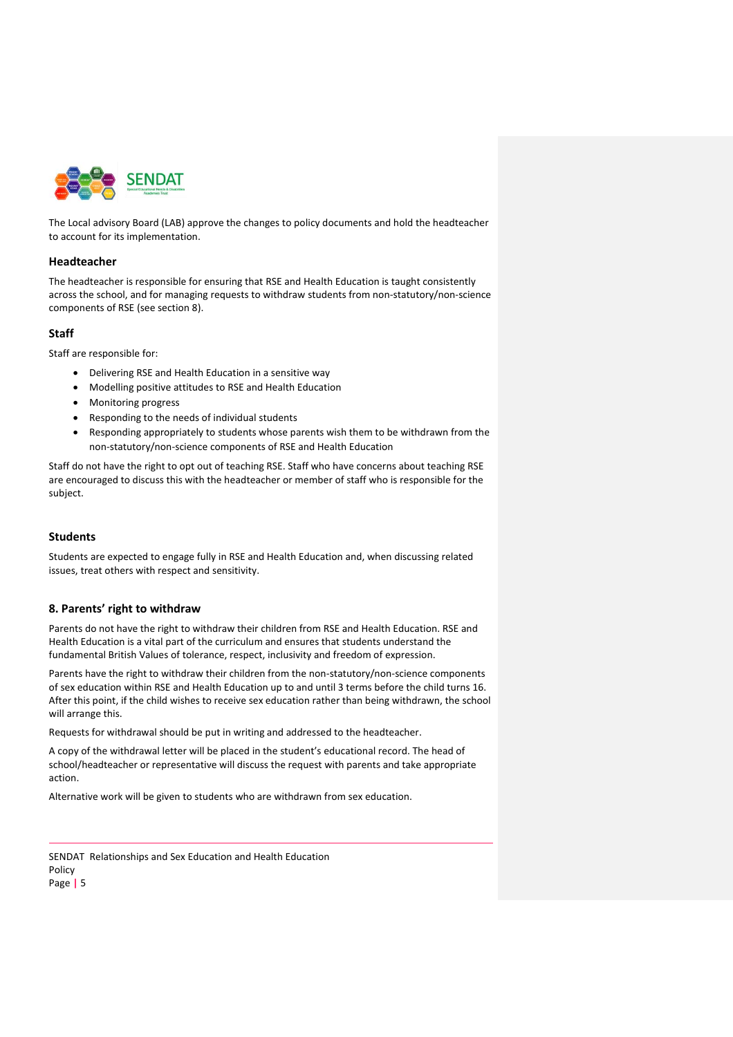

The Local advisory Board (LAB) approve the changes to policy documents and hold the headteacher to account for its implementation.

#### **Headteacher**

The headteacher is responsible for ensuring that RSE and Health Education is taught consistently across the school, and for managing requests to withdraw students from non-statutory/non-science components of RSE (see section 8).

### **Staff**

Staff are responsible for:

- Delivering RSE and Health Education in a sensitive way
- Modelling positive attitudes to RSE and Health Education
- Monitoring progress
- Responding to the needs of individual students
- Responding appropriately to students whose parents wish them to be withdrawn from the non-statutory/non-science components of RSE and Health Education

Staff do not have the right to opt out of teaching RSE. Staff who have concerns about teaching RSE are encouraged to discuss this with the headteacher or member of staff who is responsible for the subject.

### **Students**

Students are expected to engage fully in RSE and Health Education and, when discussing related issues, treat others with respect and sensitivity.

### <span id="page-4-0"></span>**8. Parents' right to withdraw**

Parents do not have the right to withdraw their children from RSE and Health Education. RSE and Health Education is a vital part of the curriculum and ensures that students understand the fundamental British Values of tolerance, respect, inclusivity and freedom of expression.

Parents have the right to withdraw their children from the non-statutory/non-science components of sex education within RSE and Health Education up to and until 3 terms before the child turns 16. After this point, if the child wishes to receive sex education rather than being withdrawn, the school will arrange this.

Requests for withdrawal should be put in writing and addressed to the headteacher.

A copy of the withdrawal letter will be placed in the student's educational record. The head of school/headteacher or representative will discuss the request with parents and take appropriate action.

Alternative work will be given to students who are withdrawn from sex education.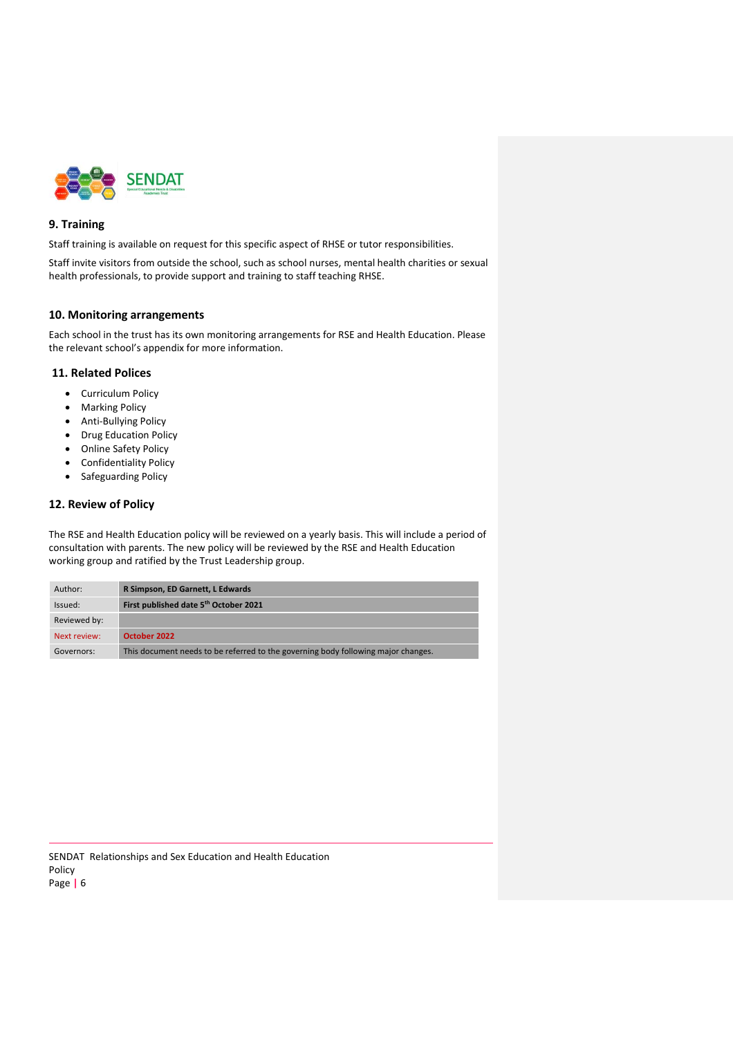

### <span id="page-5-0"></span>**9. Training**

Staff training is available on request for this specific aspect of RHSE or tutor responsibilities.

Staff invite visitors from outside the school, such as school nurses, mental health charities or sexual health professionals, to provide support and training to staff teaching RHSE.

#### <span id="page-5-1"></span>**10. Monitoring arrangements**

Each school in the trust has its own monitoring arrangements for RSE and Health Education. Please the relevant school's appendix for more information.

### **11. Related Polices**

- Curriculum Policy
- Marking Policy
- Anti-Bullying Policy
- Drug Education Policy
- Online Safety Policy
- Confidentiality Policy
- Safeguarding Policy

### **12. Review of Policy**

The RSE and Health Education policy will be reviewed on a yearly basis. This will include a period of consultation with parents. The new policy will be reviewed by the RSE and Health Education working group and ratified by the Trust Leadership group.

| Author:      | R Simpson, ED Garnett, L Edwards                                                  |
|--------------|-----------------------------------------------------------------------------------|
| Issued:      | First published date 5th October 2021                                             |
| Reviewed by: |                                                                                   |
| Next review: | October 2022                                                                      |
| Governors:   | This document needs to be referred to the governing body following major changes. |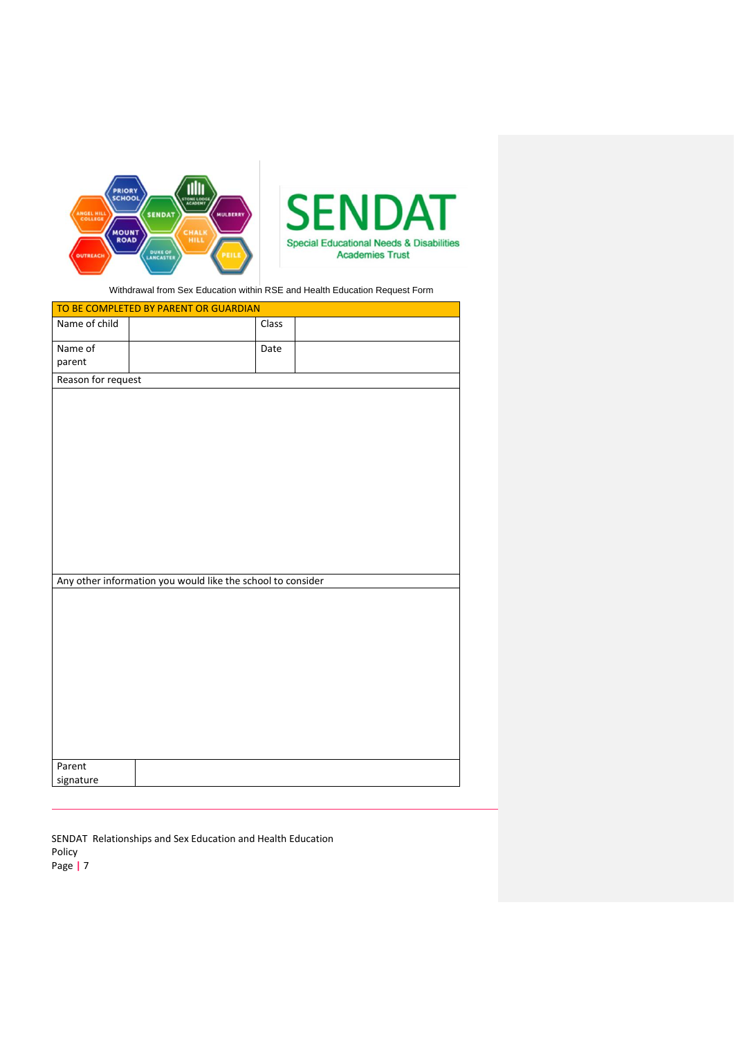

Withdrawal from Sex Education within RSE and Health Education Request Form

| TO BE COMPLETED BY PARENT OR GUARDIAN |                                                             |       |  |  |  |
|---------------------------------------|-------------------------------------------------------------|-------|--|--|--|
| Name of child                         |                                                             | Class |  |  |  |
| Name of                               |                                                             | Date  |  |  |  |
| parent                                |                                                             |       |  |  |  |
| Reason for request                    |                                                             |       |  |  |  |
|                                       | Any other information you would like the school to consider |       |  |  |  |
|                                       |                                                             |       |  |  |  |
| Parent<br>signature                   |                                                             |       |  |  |  |